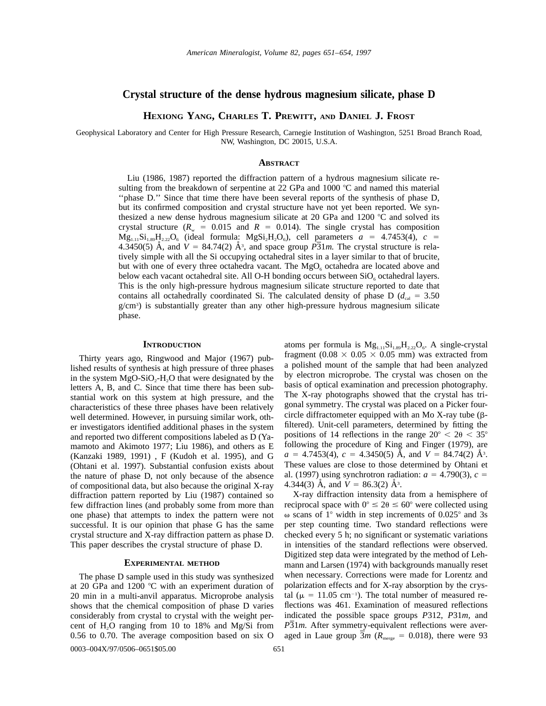# **Crystal structure of the dense hydrous magnesium silicate, phase D**

**HEXIONG YANG, CHARLES T. PREWITT, AND DANIEL J. FROST**

Geophysical Laboratory and Center for High Pressure Research, Carnegie Institution of Washington, 5251 Broad Branch Road, NW, Washington, DC 20015, U.S.A.

# **ABSTRACT**

Liu (1986, 1987) reported the diffraction pattern of a hydrous magnesium silicate resulting from the breakdown of serpentine at 22 GPa and 1000  $^{\circ}$ C and named this material ''phase D.'' Since that time there have been several reports of the synthesis of phase D, but its confirmed composition and crystal structure have not yet been reported. We synthesized a new dense hydrous magnesium silicate at 20 GPa and 1200  $^{\circ}$ C and solved its crystal structure  $(R_w = 0.015$  and  $R = 0.014$ ). The single crystal has composition  $Mg_{1,1}Si_{1,89}H_{2,2}O_6$  (ideal formula:  $MgSi_2H_2O_6$ ), cell parameters  $a = 4.7453(4)$ ,  $c =$  $4.3450(5)$  Å, and  $V = 84.74(2)$  Å<sup>3</sup>, and space group  $\overline{P}31m$ . The crystal structure is relatively simple with all the Si occupying octahedral sites in a layer similar to that of brucite, but with one of every three octahedra vacant. The  $MgO<sub>6</sub>$  octahedra are located above and below each vacant octahedral site. All O-H bonding occurs between  $SiO<sub>6</sub>$  octahedral layers. This is the only high-pressure hydrous magnesium silicate structure reported to date that contains all octahedrally coordinated Si. The calculated density of phase D ( $d_{\text{cal}} = 3.50$ ) g/cm3 ) is substantially greater than any other high-pressure hydrous magnesium silicate phase.

## **INTRODUCTION**

Thirty years ago, Ringwood and Major (1967) published results of synthesis at high pressure of three phases in the system  $MgO-SiO<sub>2</sub>-H<sub>2</sub>O$  that were designated by the letters A, B, and C. Since that time there has been substantial work on this system at high pressure, and the characteristics of these three phases have been relatively well determined. However, in pursuing similar work, other investigators identified additional phases in the system and reported two different compositions labeled as D (Yamamoto and Akimoto 1977; Liu 1986), and others as E (Kanzaki 1989, 1991) , F (Kudoh et al. 1995), and G (Ohtani et al. 1997). Substantial confusion exists about the nature of phase D, not only because of the absence of compositional data, but also because the original X-ray diffraction pattern reported by Liu (1987) contained so few diffraction lines (and probably some from more than one phase) that attempts to index the pattern were not successful. It is our opinion that phase G has the same crystal structure and X-ray diffraction pattern as phase D. This paper describes the crystal structure of phase D.

# **EXPERIMENTAL METHOD**

The phase D sample used in this study was synthesized at 20 GPa and 1200  $^{\circ}$ C with an experiment duration of 20 min in a multi-anvil apparatus. Microprobe analysis shows that the chemical composition of phase D varies considerably from crystal to crystal with the weight percent of  $H<sub>2</sub>O$  ranging from 10 to 18% and Mg/Si from 0.56 to 0.70. The average composition based on six O atoms per formula is  $Mg_{1,11}Si_{1,89}H_{2,22}O_6$ . A single-crystal fragment (0.08  $\times$  0.05  $\times$  0.05 mm) was extracted from a polished mount of the sample that had been analyzed by electron microprobe. The crystal was chosen on the basis of optical examination and precession photography. The X-ray photographs showed that the crystal has trigonal symmetry. The crystal was placed on a Picker fourcircle diffractometer equipped with an Mo X-ray tube  $(\beta$ filtered). Unit-cell parameters, determined by fitting the positions of 14 reflections in the range  $20^{\circ} < 20 < 35^{\circ}$ following the procedure of King and Finger (1979), are  $a = 4.7\overline{4}53(4)$ ,  $c = 4.3450(5)$  Å, and  $V = 84.74(2)$  Å<sup>3</sup>. These values are close to those determined by Ohtani et al. (1997) using synchrotron radiation:  $a = 4.790(3)$ ,  $c =$ 4.344(3)  $\AA$ , and  $V = 86.3(2) \AA^3$ .

X-ray diffraction intensity data from a hemisphere of reciprocal space with  $0^{\circ} \le 2\theta \le 60^{\circ}$  were collected using  $\omega$  scans of 1° width in step increments of 0.025° and 3s per step counting time. Two standard reflections were checked every 5 h; no significant or systematic variations in intensities of the standard reflections were observed. Digitized step data were integrated by the method of Lehmann and Larsen (1974) with backgrounds manually reset when necessary. Corrections were made for Lorentz and polarization effects and for X-ray absorption by the crystal ( $\mu$  = 11.05 cm<sup>-1</sup>). The total number of measured reflections was 461. Examination of measured reflections indicated the possible space groups *P*312, *P*31*m,* and *P*31*m.* After symmetry-equivalent reflections were averaged in Laue group  $3m$  ( $R_{\text{merge}} = 0.018$ ), there were 93

0003-004X/97/0506-0651\$05.00 651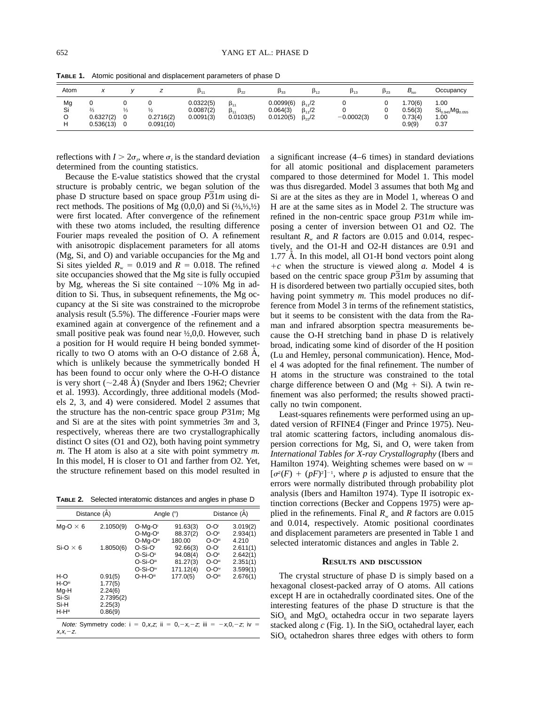| Atom          | x                                            |                    |                        | P11                                 | $P_{22}$                                  | $\beta_{33}$                       | $\beta_{12}$                                       | $\beta_{13}$ | $\beta_{23}$ | $B_{\rm iso}$                          | Occupancy                                                     |
|---------------|----------------------------------------------|--------------------|------------------------|-------------------------------------|-------------------------------------------|------------------------------------|----------------------------------------------------|--------------|--------------|----------------------------------------|---------------------------------------------------------------|
| Mg<br>Si<br>н | 0<br>$\frac{2}{3}$<br>0.6327(2)<br>0.536(13) | $\frac{1}{3}$<br>0 | 0.2716(2)<br>0.091(10) | 0.0322(5)<br>0.0087(2)<br>0.0091(3) | $\beta_{11}$<br>$\beta_{11}$<br>0.0103(5) | 0.0099(6)<br>0.064(3)<br>0.0120(5) | $\beta_{11}/2$<br>$\beta_{11}/2$<br>$\beta_{22}/2$ | $-0.0002(3)$ |              | .70(6)<br>0.56(3)<br>0.73(4)<br>0.9(9) | 1.00<br>$\text{Si}_{0.945} \text{Mg}_{0.055}$<br>1.00<br>0.37 |

**TABLE 1.** Atomic positional and displacement parameters of phase D

reflections with  $I > 2\sigma_I$ , where  $\sigma_I$  is the standard deviation determined from the counting statistics.

Because the E-value statistics showed that the crystal structure is probably centric, we began solution of the phase D structure based on space group *P*31*m* using direct methods. The positions of Mg (0,0,0) and Si (⅔,⅓,½) were first located. After convergence of the refinement with these two atoms included, the resulting difference Fourier maps revealed the position of O. A refinement with anisotropic displacement parameters for all atoms (Mg, Si, and O) and variable occupancies for the Mg and Si sites yielded  $R_w = 0.019$  and  $R = 0.018$ . The refined site occupancies showed that the Mg site is fully occupied by Mg, whereas the Si site contained  $\sim$ 10% Mg in addition to Si. Thus, in subsequent refinements, the Mg occupancy at the Si site was constrained to the microprobe analysis result (5.5%). The difference -Fourier maps were examined again at convergence of the refinement and a small positive peak was found near  $\frac{1}{2}$ ,0,0. However, such a position for H would require H being bonded symmetrically to two O atoms with an O-O distance of  $2.68$  Å, which is unlikely because the symmetrically bonded H has been found to occur only where the O-H-O distance is very short  $(\sim 2.48 \text{ Å})$  (Snyder and Ibers 1962; Chevrier et al. 1993). Accordingly, three additional models (Models 2, 3, and 4) were considered. Model 2 assumes that the structure has the non-centric space group *P*31*m*; Mg and Si are at the sites with point symmetries 3*m* and 3, respectively, whereas there are two crystallographically distinct O sites (O1 and O2), both having point symmetry *m.* The H atom is also at a site with point symmetry *m.* In this model, H is closer to O1 and farther from O2. Yet, the structure refinement based on this model resulted in

**TABLE 2.** Selected interatomic distances and angles in phase D

|                                                 | Distance (Å)                                                                              | Angle $(°)$                               |                                               |                                 | Distance (Å)                                 |
|-------------------------------------------------|-------------------------------------------------------------------------------------------|-------------------------------------------|-----------------------------------------------|---------------------------------|----------------------------------------------|
| Mg-O $\times$ 6                                 | 2.1050(9)                                                                                 | O-Mg-O<br>O-Ma-O"<br>O-Ma-Oili            | 91.63(3)<br>88.37(2)<br>180.00                | O-O<br>O-Oii<br>O-Oiii          | 3.019(2)<br>2.934(1)<br>4.210                |
| $Si-O \times 6$                                 | 1.8050(6)                                                                                 | O-Si-O<br>O-Si-O"<br>O-Si-Oil<br>O-Si-Oiv | 92.66(3)<br>94.08(4)<br>81.27(3)<br>171.12(4) | O-O<br>O-Oii<br>O-Oili<br>O-Oiv | 2.611(1)<br>2.642(1)<br>2.351(1)<br>3.599(1) |
| H-O<br>H-Oili<br>Mq-H<br>Si-Si<br>Si-H<br>H-Hii | 0.91(5)<br>1.77(5)<br>2.24(6)<br>2.7395(2)<br>2.25(3)<br>0.86(9)                          | O-H-Oil                                   | 177.0(5)                                      | O-Oiii                          | 2.676(1)                                     |
|                                                 | <i>Note:</i> Symmetry code: $i = 0, x, z$ ; $ii = 0, -x, -z$ ; $iii = -x, 0, -z$ ; $iv =$ |                                           |                                               |                                 |                                              |

 $X.X. = Z.$ 

a significant increase (4–6 times) in standard deviations for all atomic positional and displacement parameters compared to those determined for Model 1. This model was thus disregarded. Model 3 assumes that both Mg and Si are at the sites as they are in Model 1, whereas O and H are at the same sites as in Model 2. The structure was refined in the non-centric space group *P*31*m* while imposing a center of inversion between O1 and O2. The resultant  $R_w$  and  $R$  factors are 0.015 and 0.014, respectively, and the O1-H and O2-H distances are 0.91 and  $1.77 \text{ Å}$ . In this model, all O1-H bond vectors point along  $+c$  when the structure is viewed along *a*. Model 4 is based on the centric space group  $\overline{P31m}$  by assuming that H is disordered between two partially occupied sites, both having point symmetry *m*. This model produces no difference from Model 3 in terms of the refinement statistics, but it seems to be consistent with the data from the Raman and infrared absorption spectra measurements because the O-H stretching band in phase D is relatively broad, indicating some kind of disorder of the H position (Lu and Hemley, personal communication). Hence, Model 4 was adopted for the final refinement. The number of H atoms in the structure was constrained to the total charge difference between O and  $(Mg + Si)$ . A twin refinement was also performed; the results showed practically no twin component.

Least-squares refinements were performed using an updated version of RFINE4 (Finger and Prince 1975). Neutral atomic scattering factors, including anomalous dispersion corrections for Mg, Si, and O, were taken from *International Tables for X-ray Crystallography* (Ibers and Hamilton 1974). Weighting schemes were based on  $w =$  $\left[\sigma^2(F) + (pF)^2\right]^{-1}$ , where *p* is adjusted to ensure that the errors were normally distributed through probability plot analysis (Ibers and Hamilton 1974). Type II isotropic extinction corrections (Becker and Coppens 1975) were applied in the refinements. Final  $R_w$  and  $R$  factors are 0.015 and 0.014, respectively. Atomic positional coordinates and displacement parameters are presented in Table 1 and selected interatomic distances and angles in Table 2.

#### **RESULTS AND DISCUSSION**

The crystal structure of phase D is simply based on a hexagonal closest-packed array of O atoms. All cations except H are in octahedrally coordinated sites. One of the interesting features of the phase D structure is that the  $SiO_6$  and  $MgO_6$  octahedra occur in two separate layers stacked along  $c$  (Fig. 1). In the  $SiO<sub>6</sub>$  octahedral layer, each  $SiO<sub>6</sub>$  octahedron shares three edges with others to form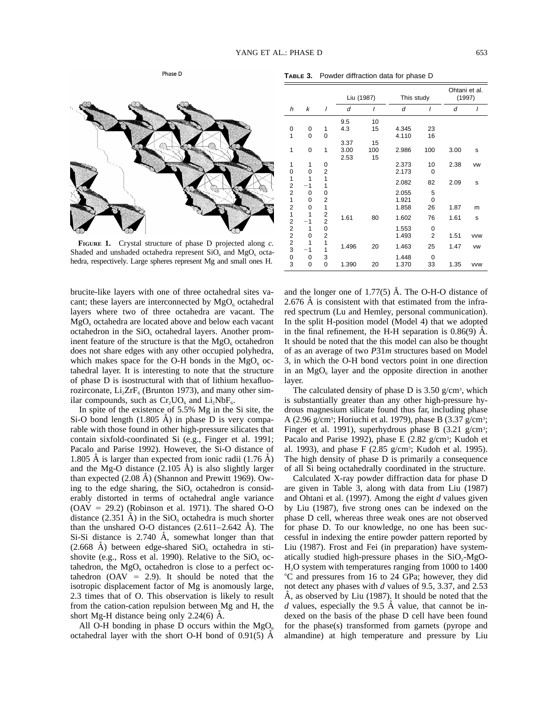

**FIGURE 1.** Crystal structure of phase D projected along *c.* Shaded and unshaded octahedra represent  $SiO<sub>6</sub>$  and  $MgO<sub>6</sub>$  octahedra, respectively. Large spheres represent Mg and small ones H.

brucite-like layers with one of three octahedral sites vacant; these layers are interconnected by  $MgO_6$  octahedral layers where two of three octahedra are vacant. The  $MgO<sub>6</sub>$  octahedra are located above and below each vacant octahedron in the  $SiO<sub>6</sub>$  octahedral layers. Another prominent feature of the structure is that the  $MgO<sub>6</sub>$  octahedron does not share edges with any other occupied polyhedra, which makes space for the O-H bonds in the  $MgO<sub>6</sub>$  octahedral layer. It is interesting to note that the structure of phase D is isostructural with that of lithium hexafluorozirconate,  $Li<sub>2</sub>ZrF<sub>6</sub>$  (Brunton 1973), and many other similar compounds, such as  $Cr_2UO_6$  and  $Li_2NbF_6$ .

In spite of the existence of 5.5% Mg in the Si site, the Si-O bond length  $(1.805 \text{ Å})$  in phase D is very comparable with those found in other high-pressure silicates that contain sixfold-coordinated Si (e.g., Finger et al. 1991; Pacalo and Parise 1992). However, the Si-O distance of 1.805  $\AA$  is larger than expected from ionic radii (1.76  $\AA$ ) and the Mg-O distance  $(2.105 \text{ Å})$  is also slightly larger than expected  $(2.08 \text{ Å})$  (Shannon and Prewitt 1969). Owing to the edge sharing, the  $SiO_6$  octahedron is considerably distorted in terms of octahedral angle variance  $(OAV = 29.2)$  (Robinson et al. 1971). The shared O-O distance (2.351 A) in the  $SiO<sub>6</sub>$  octahedra is much shorter than the unshared O-O distances  $(2.611-2.642 \text{ Å})$ . The Si-Si distance is  $2.740$  Å, somewhat longer than that  $(2.668 \text{ A})$  between edge-shared  $SiO_6$  octahedra in stishovite (e.g., Ross et al. 1990). Relative to the  $SiO<sub>6</sub>$  octahedron, the  $MgO_6$  octahedron is close to a perfect octahedron ( $OAV = 2.9$ ). It should be noted that the isotropic displacement factor of Mg is anomously large, 2.3 times that of O. This observation is likely to result from the cation-cation repulsion between Mg and H, the short Mg-H distance being only  $2.24(6)$  Å.

All O-H bonding in phase D occurs within the  $MgO<sub>6</sub>$ octahedral layer with the short O-H bond of  $0.91(5)$  A

|                                |          |               | Liu (1987) |     | This study |                | Ohtani et al.<br>(1997) |            |
|--------------------------------|----------|---------------|------------|-----|------------|----------------|-------------------------|------------|
| h                              | k        | I             | d          | ı   | d          |                | d                       | I          |
|                                |          |               | 9.5        | 10  |            |                |                         |            |
| 0                              | 0        | 1             | 4.3        | 15  | 4.345      | 23             |                         |            |
| 1                              | $\Omega$ | $\Omega$      |            |     | 4.110      | 16             |                         |            |
|                                |          |               | 3.37       | 15  |            |                |                         |            |
| 1                              | 0        | 1             | 3.00       | 100 | 2.986      | 100            | 3.00                    | s          |
|                                |          |               | 2.53       | 15  |            |                |                         |            |
| 1                              | 1        | 0             |            |     | 2.373      | 10             | 2.38                    | <b>VW</b>  |
| 0                              | 0        | 2             |            |     | 2.173      | $\Omega$       |                         |            |
| 1                              | 1        | 1             |            |     | 2.082      | 82             | 2.09                    | s          |
| 2                              | $-1$     | 1             |            |     |            |                |                         |            |
| $\overline{c}$<br>$\mathbf{1}$ | $\Omega$ | 0             |            |     | 2.055      | 5              |                         |            |
| $\overline{2}$                 | 0        | 2<br>1        |            |     | 1.921      | 0              |                         |            |
| 1                              | 0<br>1   |               |            |     | 1.858      | 26             | 1.87                    | m          |
| $\overline{2}$                 | 1        | $\frac{2}{2}$ | 1.61       | 80  | 1.602      | 76             | 1.61                    | s          |
| $\overline{2}$                 | 1        | 0             |            |     | 1.553      | $\Omega$       |                         |            |
| $\overline{\mathbf{c}}$        | 0        |               |            |     | 1.493      | $\overline{2}$ | 1.51                    | <b>VVW</b> |
| $\overline{c}$                 | 1        | $\frac{2}{1}$ |            |     |            |                |                         |            |
| 3                              | $-1$     | $\mathbf{1}$  | 1.496      | 20  | 1.463      | 25             | 1.47                    | <b>VW</b>  |
| 0                              | 0        | 3             |            |     | 1.448      | $\Omega$       |                         |            |
| 3                              | 0        | 0             | 1.390      | 20  | 1.370      | 33             | 1.35                    | <b>VVW</b> |

and the longer one of  $1.77(5)$  Å. The O-H-O distance of  $2.676$  Å is consistent with that estimated from the infrared spectrum (Lu and Hemley, personal communication). In the split H-position model (Model 4) that we adopted in the final refinement, the H-H separation is  $0.86(9)$  Å. It should be noted that the this model can also be thought of as an average of two *P*31*m* structures based on Model 3, in which the O-H bond vectors point in one direction in an  $MgO_6$  layer and the opposite direction in another layer.

The calculated density of phase D is  $3.50$  g/cm<sup>3</sup>, which is substantially greater than any other high-pressure hydrous magnesium silicate found thus far, including phase A (2.96 g/cm<sup>3</sup>; Horiuchi et al. 1979), phase B (3.37 g/cm<sup>3</sup>; Finger et al. 1991), superhydrous phase B (3.21 g/cm<sup>3</sup>; Pacalo and Parise 1992), phase E (2.82 g/cm<sup>3</sup>; Kudoh et al. 1993), and phase F (2.85 g/cm<sup>3</sup>; Kudoh et al. 1995). The high density of phase D is primarily a consequence of all Si being octahedrally coordinated in the structure.

Calculated X-ray powder diffraction data for phase D are given in Table 3, along with data from Liu (1987) and Ohtani et al. (1997). Among the eight *d* values given by Liu (1987), five strong ones can be indexed on the phase D cell, whereas three weak ones are not observed for phase D. To our knowledge, no one has been successful in indexing the entire powder pattern reported by Liu (1987). Frost and Fei (in preparation) have systematically studied high-pressure phases in the  $SiO<sub>2</sub>-MgO-$ H2O system with temperatures ranging from 1000 to 1400 8C and pressures from 16 to 24 GPa; however, they did not detect any phases with *d* values of 9.5, 3.37, and 2.53  $\dot{A}$ , as observed by Liu (1987). It should be noted that the *d* values, especially the 9.5  $\AA$  value, that cannot be indexed on the basis of the phase D cell have been found for the phase(s) transformed from garnets (pyrope and almandine) at high temperature and pressure by Liu